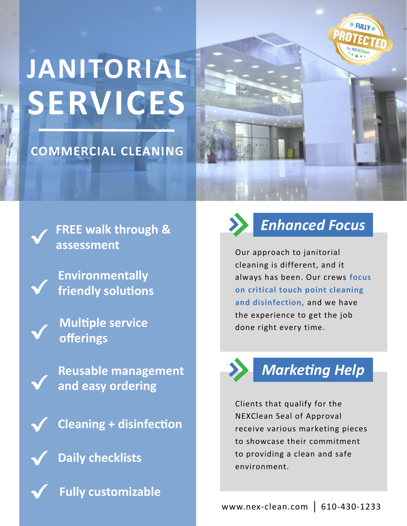

# **JANITORIAL SERVICES**

#### **COMMERCIAL CLEANING**



**FREE walk through & assessment**

**Environmentally friendly solutions**

**Multiple service offerings** 

**Reusable management and easy ordering**

**Cleaning + disinfection**

**Daily checklists**

**Fully customizable** 



## *Enhanced Focus*

Our approach to janitorial cleaning is different, and it always has been. Our crews **focus on critical touch point cleaning and disinfection,** and we have the experience to get the job done right every time.



## *Marketing Help*

Clients that qualify for the NEXClean Seal of Approval receive various marketing pieces to showcase their commitment to providing a clean and safe environment.